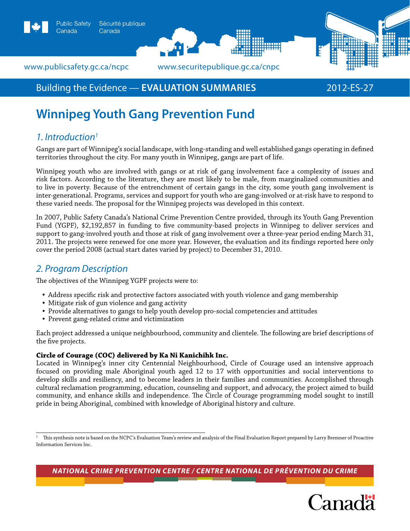

### www.publicsafety.gc.ca/ncpc *www.securitepublique.gc.ca/cnpc*

# Building the Evidence — **Evaluation summaries** 2012-ES-27

# **Winnipeg Youth Gang Prevention Fund**

# *1. Introduction1*

Gangs are part of Winnipeg's social landscape, with long-standing and well established gangs operating in defined territories throughout the city. For many youth in Winnipeg, gangs are part of life.

Winnipeg youth who are involved with gangs or at risk of gang involvement face a complexity of issues and risk factors. According to the literature, they are most likely to be male, from marginalized communities and to live in poverty. Because of the entrenchment of certain gangs in the city, some youth gang involvement is inter-generational. Programs, services and support for youth who are gang-involved or at-risk have to respond to these varied needs. The proposal for the Winnipeg projects was developed in this context.

In 2007, Public Safety Canada's National Crime Prevention Centre provided, through its Youth Gang Prevention Fund (YGPF), \$2,192,857 in funding to five community-based projects in Winnipeg to deliver services and support to gang-involved youth and those at risk of gang involvement over a three-year period ending March 31, 2011. The projects were renewed for one more year. However, the evaluation and its findings reported here only cover the period 2008 (actual start dates varied by project) to December 31, 2010.

## *2. Program Description*

The objectives of the Winnipeg YGPF projects were to:

- Address specific risk and protective factors associated with youth violence and gang membership
- Mitigate risk of gun violence and gang activity
- Provide alternatives to gangs to help youth develop pro-social competencies and attitudes
- Prevent gang-related crime and victimization

Each project addressed a unique neighbourhood, community and clientele. The following are brief descriptions of the five projects.

#### **Circle of Courage (COC) delivered by Ka Ni Kanichihk Inc.**

Located in Winnipeg's inner city Centennial Neighbourhood, Circle of Courage used an intensive approach focused on providing male Aboriginal youth aged 12 to 17 with opportunities and social interventions to develop skills and resiliency, and to become leaders in their families and communities. Accomplished through cultural reclamation programming, education, counseling and support, and advocacy, the project aimed to build community, and enhance skills and independence. The Circle of Courage programming model sought to instill pride in being Aboriginal, combined with knowledge of Aboriginal history and culture.

*National Crime Prevention Centre / centre national de prévention du crime*



<sup>1</sup> This synthesis note is based on the NCPC's Evaluation Team's review and analysis of the Final Evaluation Report prepared by Larry Bremner of Proactive Information Services Inc.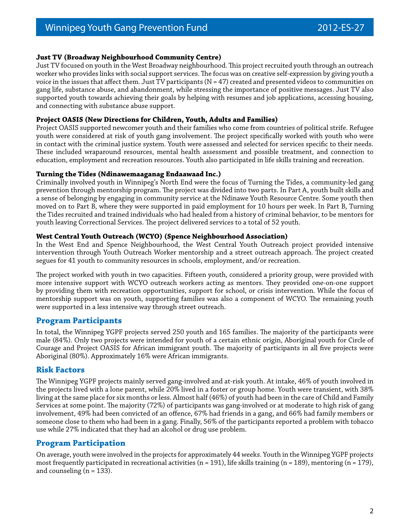#### **Just TV (Broadway Neighbourhood Community Centre)**

Just TV focused on youth in the West Broadway neighbourhood. This project recruited youth through an outreach worker who provides links with social support services. The focus was on creative self-expression by giving youth a voice in the issues that affect them. Just TV participants  $(N = 47)$  created and presented videos to communities on gang life, substance abuse, and abandonment, while stressing the importance of positive messages. Just TV also supported youth towards achieving their goals by helping with resumes and job applications, accessing housing, and connecting with substance abuse support.

#### **Project OASIS (New Directions for Children, Youth, Adults and Families)**

Project OASIS supported newcomer youth and their families who come from countries of political strife. Refugee youth were considered at risk of youth gang involvement. The project specifically worked with youth who were in contact with the criminal justice system. Youth were assessed and selected for services specific to their needs. These included wraparound resources, mental health assessment and possible treatment, and connection to education, employment and recreation resources. Youth also participated in life skills training and recreation.

#### **Turning the Tides (Ndinawemaaganag Endaawaad Inc.)**

Criminally involved youth in Winnipeg's North End were the focus of Turning the Tides, a community-led gang prevention through mentorship program. The project was divided into two parts. In Part A, youth built skills and a sense of belonging by engaging in community service at the Ndinawe Youth Resource Centre. Some youth then moved on to Part B, where they were supported in paid employment for 10 hours per week. In Part B, Turning the Tides recruited and trained individuals who had healed from a history of criminal behavior, to be mentors for youth leaving Correctional Services. The project delivered services to a total of 52 youth.

#### **West Central Youth Outreach (WCYO) (Spence Neighbourhood Association)**

In the West End and Spence Neighbourhood, the West Central Youth Outreach project provided intensive intervention through Youth Outreach Worker mentorship and a street outreach approach. The project created segues for 41 youth to community resources in schools, employment, and/or recreation.

The project worked with youth in two capacities. Fifteen youth, considered a priority group, were provided with more intensive support with WCYO outreach workers acting as mentors. They provided one-on-one support by providing them with recreation opportunities, support for school, or crisis intervention. While the focus of mentorship support was on youth, supporting families was also a component of WCYO. The remaining youth were supported in a less intensive way through street outreach.

#### **Program Participants**

In total, the Winnipeg YGPF projects served 250 youth and 165 families. The majority of the participants were male (84%). Only two projects were intended for youth of a certain ethnic origin, Aboriginal youth for Circle of Courage and Project OASIS for African immigrant youth. The majority of participants in all five projects were Aboriginal (80%). Approximately 16% were African immigrants.

#### **Risk Factors**

The Winnipeg YGPF projects mainly served gang-involved and at-risk youth. At intake, 46% of youth involved in the projects lived with a lone parent, while 20% lived in a foster or group home. Youth were transient, with 38% living at the same place for six months or less. Almost half (46%) of youth had been in the care of Child and Family Services at some point. The majority (72%) of participants was gang-involved or at moderate to high risk of gang involvement, 49% had been convicted of an offence, 67% had friends in a gang, and 66% had family members or someone close to them who had been in a gang. Finally, 56% of the participants reported a problem with tobacco use while 27% indicated that they had an alcohol or drug use problem.

#### **Program Participation**

On average, youth were involved in the projects for approximately 44 weeks. Youth in the Winnipeg YGPF projects most frequently participated in recreational activities (n = 191), life skills training (n = 189), mentoring (n = 179), and counseling  $(n = 133)$ .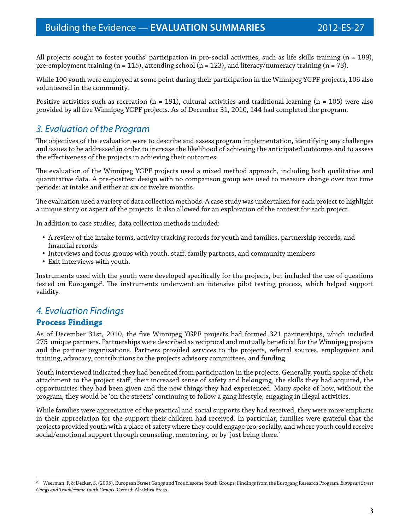All projects sought to foster youths' participation in pro-social activities, such as life skills training  $(n = 189)$ , pre-employment training (n = 115), attending school (n = 123), and literacy/numeracy training (n = 73).

While 100 youth were employed at some point during their participation in the Winnipeg YGPF projects, 106 also volunteered in the community.

Positive activities such as recreation (n = 191), cultural activities and traditional learning (n = 105) were also provided by all five Winnipeg YGPF projects. As of December 31, 2010, 144 had completed the program.

# *3. Evaluation of the Program*

The objectives of the evaluation were to describe and assess program implementation, identifying any challenges and issues to be addressed in order to increase the likelihood of achieving the anticipated outcomes and to assess the effectiveness of the projects in achieving their outcomes.

The evaluation of the Winnipeg YGPF projects used a mixed method approach, including both qualitative and quantitative data. A pre-posttest design with no comparison group was used to measure change over two time periods: at intake and either at six or twelve months.

The evaluation used a variety of data collection methods. A case study was undertaken for each project to highlight a unique story or aspect of the projects. It also allowed for an exploration of the context for each project.

In addition to case studies, data collection methods included:

- A review of the intake forms, activity tracking records for youth and families, partnership records, and financial records
- Interviews and focus groups with youth, staff, family partners, and community members
- Exit interviews with youth.

Instruments used with the youth were developed specifically for the projects, but included the use of questions tested on Eurogangs<sup>2</sup>. The instruments underwent an intensive pilot testing process, which helped support validity.

### *4. Evaluation Findings*

#### **Process Findings**

As of December 31st, 2010, the five Winnipeg YGPF projects had formed 321 partnerships, which included 275 unique partners. Partnerships were described as reciprocal and mutually beneficial for the Winnipeg projects and the partner organizations. Partners provided services to the projects, referral sources, employment and training, advocacy, contributions to the projects advisory committees, and funding.

Youth interviewed indicated they had benefited from participation in the projects. Generally, youth spoke of their attachment to the project staff, their increased sense of safety and belonging, the skills they had acquired, the opportunities they had been given and the new things they had experienced. Many spoke of how, without the program, they would be 'on the streets' continuing to follow a gang lifestyle, engaging in illegal activities.

While families were appreciative of the practical and social supports they had received, they were more emphatic in their appreciation for the support their children had received. In particular, families were grateful that the projects provided youth with a place of safety where they could engage pro-socially, and where youth could receive social/emotional support through counseling, mentoring, or by 'just being there.'

<sup>2</sup> Weerman, F. & Decker, S. (2005). European Street Gangs and Troublesome Youth Groups: Findings from the Eurogang Research Program. *European Street Gangs and Troublesome Youth Groups*. Oxford: AltaMira Press.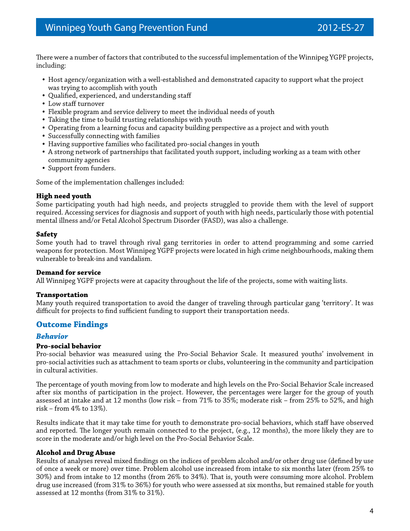There were a number of factors that contributed to the successful implementation of the Winnipeg YGPF projects, including:

- Host agency/organization with a well-established and demonstrated capacity to support what the project was trying to accomplish with youth
- Qualified, experienced, and understanding staff
- Low staff turnover
- Flexible program and service delivery to meet the individual needs of youth
- Taking the time to build trusting relationships with youth
- Operating from a learning focus and capacity building perspective as a project and with youth
- Successfully connecting with families
- Having supportive families who facilitated pro-social changes in youth
- A strong network of partnerships that facilitated youth support, including working as a team with other community agencies
- Support from funders.

Some of the implementation challenges included:

#### **High need youth**

Some participating youth had high needs, and projects struggled to provide them with the level of support required. Accessing services for diagnosis and support of youth with high needs, particularly those with potential mental illness and/or Fetal Alcohol Spectrum Disorder (FASD), was also a challenge.

#### **Safety**

Some youth had to travel through rival gang territories in order to attend programming and some carried weapons for protection. Most Winnipeg YGPF projects were located in high crime neighbourhoods, making them vulnerable to break-ins and vandalism.

#### **Demand for service**

All Winnipeg YGPF projects were at capacity throughout the life of the projects, some with waiting lists.

#### **Transportation**

Many youth required transportation to avoid the danger of traveling through particular gang 'territory'. It was difficult for projects to find sufficient funding to support their transportation needs.

#### **Outcome Findings**

#### *Behavior*

#### **Pro-social behavior**

Pro-social behavior was measured using the Pro-Social Behavior Scale. It measured youths' involvement in pro-social activities such as attachment to team sports or clubs, volunteering in the community and participation in cultural activities.

The percentage of youth moving from low to moderate and high levels on the Pro-Social Behavior Scale increased after six months of participation in the project. However, the percentages were larger for the group of youth assessed at intake and at 12 months (low risk – from 71% to 35%; moderate risk – from 25% to 52%, and high risk – from 4% to 13%).

Results indicate that it may take time for youth to demonstrate pro-social behaviors, which staff have observed and reported. The longer youth remain connected to the project, (e.g., 12 months), the more likely they are to score in the moderate and/or high level on the Pro-Social Behavior Scale.

#### **Alcohol and Drug Abuse**

Results of analyses reveal mixed findings on the indices of problem alcohol and/or other drug use (defined by use of once a week or more) over time. Problem alcohol use increased from intake to six months later (from 25% to 30%) and from intake to 12 months (from 26% to 34%). That is, youth were consuming more alcohol. Problem drug use increased (from 31% to 36%) for youth who were assessed at six months, but remained stable for youth assessed at 12 months (from 31% to 31%).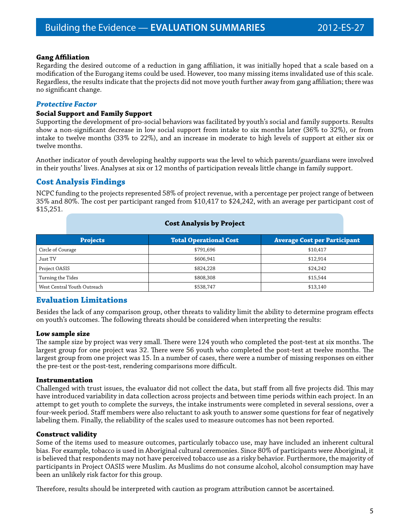#### **Gang Affiliation**

Regarding the desired outcome of a reduction in gang affiliation, it was initially hoped that a scale based on a modification of the Eurogang items could be used. However, too many missing items invalidated use of this scale. Regardless, the results indicate that the projects did not move youth further away from gang affiliation; there was no significant change.

#### *Protective Factor*

#### **Social Support and Family Support**

Supporting the development of pro-social behaviors was facilitated by youth's social and family supports. Results show a non-significant decrease in low social support from intake to six months later (36% to 32%), or from intake to twelve months (33% to 22%), and an increase in moderate to high levels of support at either six or twelve months.

Another indicator of youth developing healthy supports was the level to which parents/guardians were involved in their youths' lives. Analyses at six or 12 months of participation reveals little change in family support.

#### **Cost Analysis Findings**

NCPC funding to the projects represented 58% of project revenue, with a percentage per project range of between 35% and 80%. The cost per participant ranged from \$10,417 to \$24,242, with an average per participant cost of \$15,251.

#### **Cost Analysis by Project**

| <b>Projects</b>             | <b>Total Operational Cost</b> | <b>Average Cost per Participant</b> |
|-----------------------------|-------------------------------|-------------------------------------|
| Circle of Courage           | \$791.696                     | \$10,417                            |
| Just TV                     | \$606,941                     | \$12.914                            |
| Project OASIS               | \$824.228                     | \$24,242                            |
| Turning the Tides           | \$808,308                     | \$15,544                            |
| West Central Youth Outreach | \$538,747                     | \$13,140                            |

#### **Evaluation Limitations**

Besides the lack of any comparison group, other threats to validity limit the ability to determine program effects on youth's outcomes. The following threats should be considered when interpreting the results:

#### **Low sample size**

The sample size by project was very small. There were 124 youth who completed the post-test at six months. The largest group for one project was 32. There were 56 youth who completed the post-test at twelve months. The largest group from one project was 15. In a number of cases, there were a number of missing responses on either the pre-test or the post-test, rendering comparisons more difficult.

#### **Instrumentation**

Challenged with trust issues, the evaluator did not collect the data, but staff from all five projects did. This may have introduced variability in data collection across projects and between time periods within each project. In an attempt to get youth to complete the surveys, the intake instruments were completed in several sessions, over a four-week period. Staff members were also reluctant to ask youth to answer some questions for fear of negatively labeling them. Finally, the reliability of the scales used to measure outcomes has not been reported.

#### **Construct validity**

Some of the items used to measure outcomes, particularly tobacco use, may have included an inherent cultural bias. For example, tobacco is used in Aboriginal cultural ceremonies. Since 80% of participants were Aboriginal, it is believed that respondents may not have perceived tobacco use as a risky behavior. Furthermore, the majority of participants in Project OASIS were Muslim. As Muslims do not consume alcohol, alcohol consumption may have been an unlikely risk factor for this group.

Therefore, results should be interpreted with caution as program attribution cannot be ascertained.